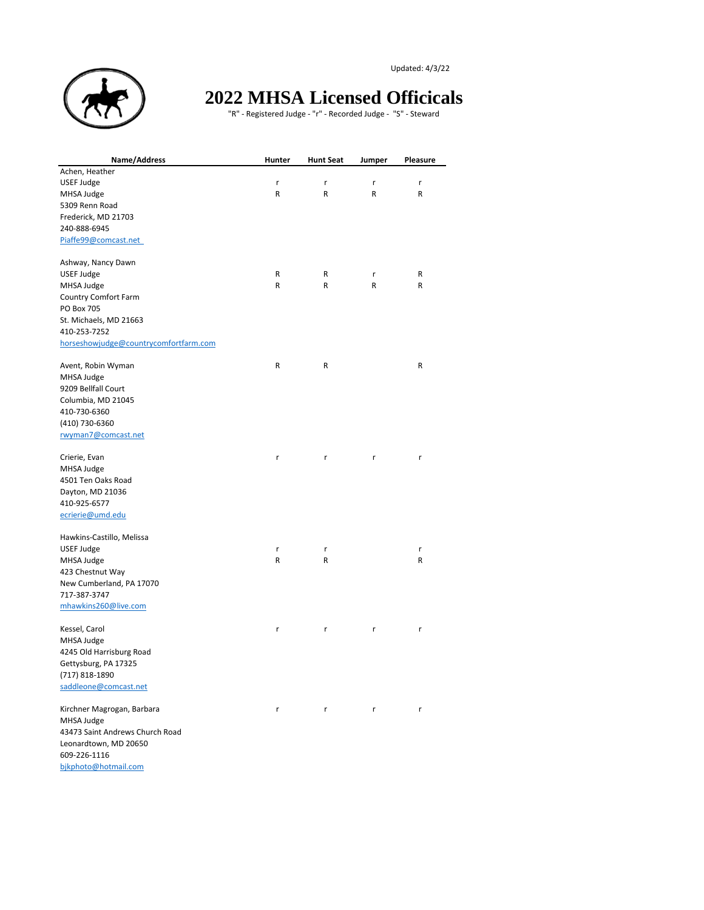Updated: 4/3/22



## **2022 MHSA Licensed Officicals**

"R" - Registered Judge - "r" - Recorded Judge - "S" - Steward

| Name/Address                          | Hunter | <b>Hunt Seat</b> | Jumper | Pleasure |
|---------------------------------------|--------|------------------|--------|----------|
| Achen, Heather                        |        |                  |        |          |
| USEF Judge                            | r      | r                | r      | r        |
| MHSA Judge                            | R      | R                | R      | R        |
| 5309 Renn Road                        |        |                  |        |          |
| Frederick, MD 21703                   |        |                  |        |          |
| 240-888-6945                          |        |                  |        |          |
| Piaffe99@comcast.net                  |        |                  |        |          |
| Ashway, Nancy Dawn                    |        |                  |        |          |
| USEF Judge                            | R      | R                | r      | R        |
| MHSA Judge                            | R      | R                | R      | R        |
| Country Comfort Farm                  |        |                  |        |          |
| PO Box 705                            |        |                  |        |          |
| St. Michaels, MD 21663                |        |                  |        |          |
| 410-253-7252                          |        |                  |        |          |
| horseshowjudge@countrycomfortfarm.com |        |                  |        |          |
| Avent, Robin Wyman                    | R      | R                |        | R        |
| MHSA Judge                            |        |                  |        |          |
| 9209 Bellfall Court                   |        |                  |        |          |
| Columbia, MD 21045                    |        |                  |        |          |
| 410-730-6360                          |        |                  |        |          |
| (410) 730-6360                        |        |                  |        |          |
| rwyman7@comcast.net                   |        |                  |        |          |
| Crierie, Evan                         | r      | r                | r      | r        |
| MHSA Judge                            |        |                  |        |          |
| 4501 Ten Oaks Road                    |        |                  |        |          |
| Dayton, MD 21036                      |        |                  |        |          |
| 410-925-6577                          |        |                  |        |          |
| ecrierie@umd.edu                      |        |                  |        |          |
| Hawkins-Castillo, Melissa             |        |                  |        |          |
| USEF Judge                            | r      | r                |        | r        |
| MHSA Judge                            | R      | R                |        | R        |
| 423 Chestnut Way                      |        |                  |        |          |
| New Cumberland, PA 17070              |        |                  |        |          |
| 717-387-3747                          |        |                  |        |          |
| mhawkins260@live.com                  |        |                  |        |          |
| Kessel, Carol                         | r      | r                | r      | r        |
| MHSA Judge                            |        |                  |        |          |
| 4245 Old Harrisburg Road              |        |                  |        |          |
| Gettysburg, PA 17325                  |        |                  |        |          |
| (717) 818-1890                        |        |                  |        |          |
| saddleone@comcast.net                 |        |                  |        |          |
| Kirchner Magrogan, Barbara            | r      | r                | r      | r        |
| MHSA Judge                            |        |                  |        |          |
| 43473 Saint Andrews Church Road       |        |                  |        |          |
| Leonardtown, MD 20650                 |        |                  |        |          |
| 609-226-1116                          |        |                  |        |          |

[bjkphoto@hotmail.com](mailto:bjkphoto@hotmail.com)